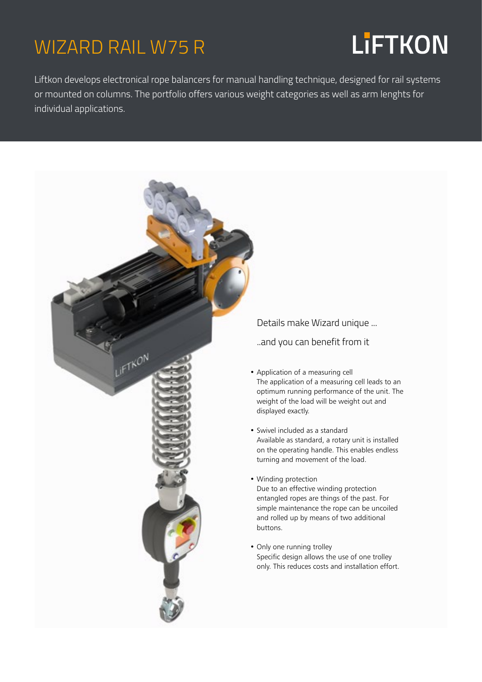### WIZARD RAIL W75 R

## **LiFTKON**

Liftkon develops electronical rope balancers for manual handling technique, designed for rail systems or mounted on columns. The portfolio offers various weight categories as well as arm lenghts for individual applications.



Details make Wizard unique ...

..and you can benefit from it

- Application of a measuring cell The application of a measuring cell leads to an optimum running performance of the unit. The weight of the load will be weight out and displayed exactly.
- Swivel included as a standard Available as standard, a rotary unit is installed on the operating handle. This enables endless turning and movement of the load.
- Winding protection Due to an effective winding protection entangled ropes are things of the past. For simple maintenance the rope can be uncoiled and rolled up by means of two additional buttons.
- Only one running trolley Specific design allows the use of one trolley only. This reduces costs and installation effort.